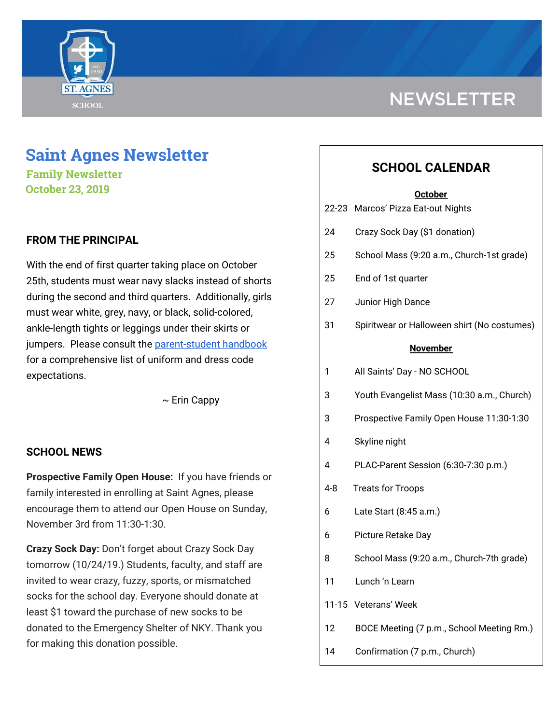

# **NEWSLETTER**

## **Saint Agnes Newsletter**

**Family Newsletter October 23, 2019**

## **FROM THE PRINCIPAL**

With the end of first quarter taking place on October 25th, students must wear navy slacks instead of shorts during the second and third quarters. Additionally, girls must wear white, grey, navy, or black, solid-colored, ankle-length tights or leggings under their skirts or jumpers. Please consult the [parent-student](http://school.saintagnes.com/wp-content/uploads/2019/08/Parent-Student-Handbook-2019-20.pdf) handbook for a comprehensive list of uniform and dress code expectations.

 $\sim$  Erin Cappy

#### **SCHOOL NEWS**

**Prospective Family Open House:** If you have friends or family interested in enrolling at Saint Agnes, please encourage them to attend our Open House on Sunday, November 3rd from 11:30-1:30.

**Crazy Sock Day:** Don't forget about Crazy Sock Day tomorrow (10/24/19.) Students, faculty, and staff are invited to wear crazy, fuzzy, sports, or mismatched socks for the school day. Everyone should donate at least \$1 toward the purchase of new socks to be donated to the Emergency Shelter of NKY. Thank you for making this donation possible.

## **SCHOOL CALENDAR**

#### **October**

| 22-23           | Marcos' Pizza Eat-out Nights                |
|-----------------|---------------------------------------------|
| 24              | Crazy Sock Day (\$1 donation)               |
| 25              | School Mass (9:20 a.m., Church-1st grade)   |
| 25              | End of 1st quarter                          |
| 27              | Junior High Dance                           |
| 31              | Spiritwear or Halloween shirt (No costumes) |
| <b>November</b> |                                             |
| 1               | All Saints' Day - NO SCHOOL                 |
| 3               | Youth Evangelist Mass (10:30 a.m., Church)  |
| 3               | Prospective Family Open House 11:30-1:30    |
| 4               | Skyline night                               |
| 4               | PLAC-Parent Session (6:30-7:30 p.m.)        |
| 4-8             | <b>Treats for Troops</b>                    |
| 6               | Late Start (8:45 a.m.)                      |
| 6               | Picture Retake Day                          |
| 8               | School Mass (9:20 a.m., Church-7th grade)   |
| 11              | Lunch 'n Learn                              |
|                 | 11-15 Veterans' Week                        |
| 12              | BOCE Meeting (7 p.m., School Meeting Rm.)   |
| 14              | Confirmation (7 p.m., Church)               |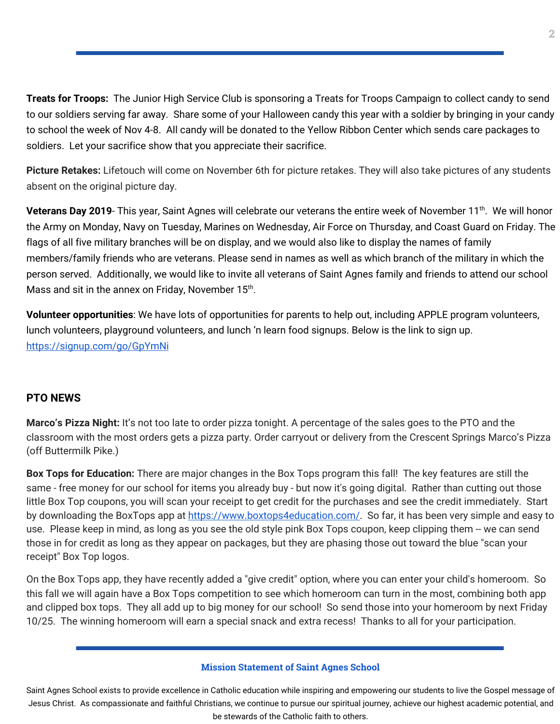**Treats for Troops:** The Junior High Service Club is sponsoring a Treats for Troops Campaign to collect candy to send to our soldiers serving far away. Share some of your Halloween candy this year with a soldier by bringing in your candy to school the week of Nov 4-8. All candy will be donated to the Yellow Ribbon Center which sends care packages to soldiers. Let your sacrifice show that you appreciate their sacrifice.

**Picture Retakes:** Lifetouch will come on November 6th for picture retakes. They will also take pictures of any students absent on the original picture day.

**Veterans Day 2019**- This year, Saint Agnes will celebrate our veterans the entire week of November 11<sup>th</sup>. We will honor the Army on Monday, Navy on Tuesday, Marines on Wednesday, Air Force on Thursday, and Coast Guard on Friday. The flags of all five military branches will be on display, and we would also like to display the names of family members/family friends who are veterans. Please send in names as well as which branch of the military in which the person served. Additionally, we would like to invite all veterans of Saint Agnes family and friends to attend our school Mass and sit in the annex on Friday, November 15<sup>th</sup>.

**Volunteer opportunities**: We have lots of opportunities for parents to help out, including APPLE program volunteers, lunch volunteers, playground volunteers, and lunch 'n learn food signups. Below is the link to sign up. <https://signup.com/go/GpYmNi>

## **PTO NEWS**

**Marco's Pizza Night:** It's not too late to order pizza tonight. A percentage of the sales goes to the PTO and the classroom with the most orders gets a pizza party. Order carryout or delivery from the Crescent Springs Marco's Pizza (off Buttermilk Pike.)

**Box Tops for Education:** There are major changes in the Box Tops program this fall! The key features are still the same - free money for our school for items you already buy - but now it's going digital. Rather than cutting out those little Box Top coupons, you will scan your receipt to get credit for the purchases and see the credit immediately. Start by downloading the BoxTops app at [https://www.boxtops4education.com/.](https://www.boxtops4education.com/) So far, it has been very simple and easy to use. Please keep in mind, as long as you see the old style pink Box Tops coupon, keep clipping them -- we can send those in for credit as long as they appear on packages, but they are phasing those out toward the blue "scan your receipt" Box Top logos.

On the Box Tops app, they have recently added a "give credit" option, where you can enter your child's homeroom. So this fall we will again have a Box Tops competition to see which homeroom can turn in the most, combining both app and clipped box tops. They all add up to big money for our school! So send those into your homeroom by next Friday 10/25. The winning homeroom will earn a special snack and extra recess! Thanks to all for your participation.

#### **Mission Statement of Saint Agnes School**

Saint Agnes School exists to provide excellence in Catholic education while inspiring and empowering our students to live the Gospel message of Jesus Christ. As compassionate and faithful Christians, we continue to pursue our spiritual journey, achieve our highest academic potential, and be stewards of the Catholic faith to others.